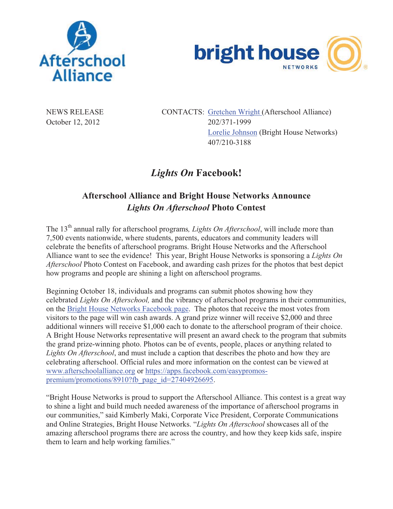



NEWS RELEASE CONTACTS: Gretchen Wright (Afterschool Alliance) October 12, 2012 202/371-1999 Lorelie Johnson (Bright House Networks) 407/210-3188

## *Lights On* **Facebook!**

## **Afterschool Alliance and Bright House Networks Announce**  *Lights On Afterschool* **Photo Contest**

The 13<sup>th</sup> annual rally for afterschool programs, Lights On Afterschool, will include more than 7,500 events nationwide, where students, parents, educators and community leaders will celebrate the benefits of afterschool programs. Bright House Networks and the Afterschool Alliance want to see the evidence! This year, Bright House Networks is sponsoring a *Lights On Afterschool* Photo Contest on Facebook, and awarding cash prizes for the photos that best depict how programs and people are shining a light on afterschool programs.

Beginning October 18, individuals and programs can submit photos showing how they celebrated *Lights On Afterschool,* and the vibrancy of afterschool programs in their communities, on the Bright House Networks Facebook page. The photos that receive the most votes from visitors to the page will win cash awards. A grand prize winner will receive \$2,000 and three additional winners will receive \$1,000 each to donate to the afterschool program of their choice. A Bright House Networks representative will present an award check to the program that submits the grand prize-winning photo. Photos can be of events, people, places or anything related to *Lights On Afterschool*, and must include a caption that describes the photo and how they are celebrating afterschool. Official rules and more information on the contest can be viewed at www.afterschoolalliance.org or https://apps.facebook.com/easypromospremium/promotions/8910?fb\_page\_id=27404926695.

"Bright House Networks is proud to support the Afterschool Alliance. This contest is a great way to shine a light and build much needed awareness of the importance of afterschool programs in our communities," said Kimberly Maki, Corporate Vice President, Corporate Communications and Online Strategies, Bright House Networks. "*Lights On Afterschool* showcases all of the amazing afterschool programs there are across the country, and how they keep kids safe, inspire them to learn and help working families."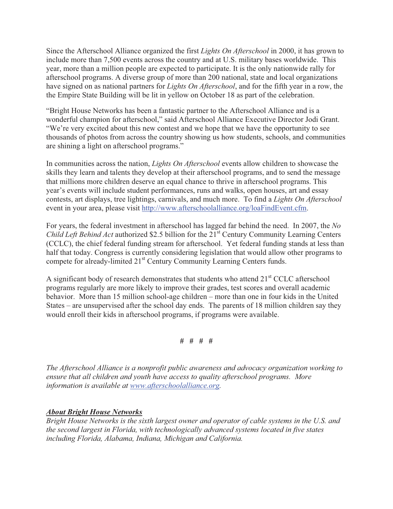Since the Afterschool Alliance organized the first *Lights On Afterschool* in 2000, it has grown to include more than 7,500 events across the country and at U.S. military bases worldwide. This year, more than a million people are expected to participate. It is the only nationwide rally for afterschool programs. A diverse group of more than 200 national, state and local organizations have signed on as national partners for *Lights On Afterschool*, and for the fifth year in a row, the the Empire State Building will be lit in yellow on October 18 as part of the celebration.

"Bright House Networks has been a fantastic partner to the Afterschool Alliance and is a wonderful champion for afterschool," said Afterschool Alliance Executive Director Jodi Grant. "We're very excited about this new contest and we hope that we have the opportunity to see thousands of photos from across the country showing us how students, schools, and communities are shining a light on afterschool programs."

In communities across the nation, *Lights On Afterschool* events allow children to showcase the skills they learn and talents they develop at their afterschool programs, and to send the message that millions more children deserve an equal chance to thrive in afterschool programs. This year's events will include student performances, runs and walks, open houses, art and essay contests, art displays, tree lightings, carnivals, and much more. To find a *Lights On Afterschool* event in your area, please visit http://www.afterschoolalliance.org/loaFindEvent.cfm.

For years, the federal investment in afterschool has lagged far behind the need. In 2007, the *No Child Left Behind Act* authorized \$2.5 billion for the 21<sup>st</sup> Century Community Learning Centers (CCLC), the chief federal funding stream for afterschool. Yet federal funding stands at less than half that today. Congress is currently considering legislation that would allow other programs to compete for already-limited 21<sup>st</sup> Century Community Learning Centers funds.

A significant body of research demonstrates that students who attend 21<sup>st</sup> CCLC afterschool programs regularly are more likely to improve their grades, test scores and overall academic behavior. More than 15 million school-age children – more than one in four kids in the United States – are unsupervised after the school day ends. The parents of 18 million children say they would enroll their kids in afterschool programs, if programs were available.

**# # # #** 

*The Afterschool Alliance is a nonprofit public awareness and advocacy organization working to ensure that all children and youth have access to quality afterschool programs. More information is available at www.afterschoolalliance.org.*

*About Bright House Networks Bright House Networks is the sixth largest owner and operator of cable systems in the U.S. and the second largest in Florida, with technologically advanced systems located in five states including Florida, Alabama, Indiana, Michigan and California.*